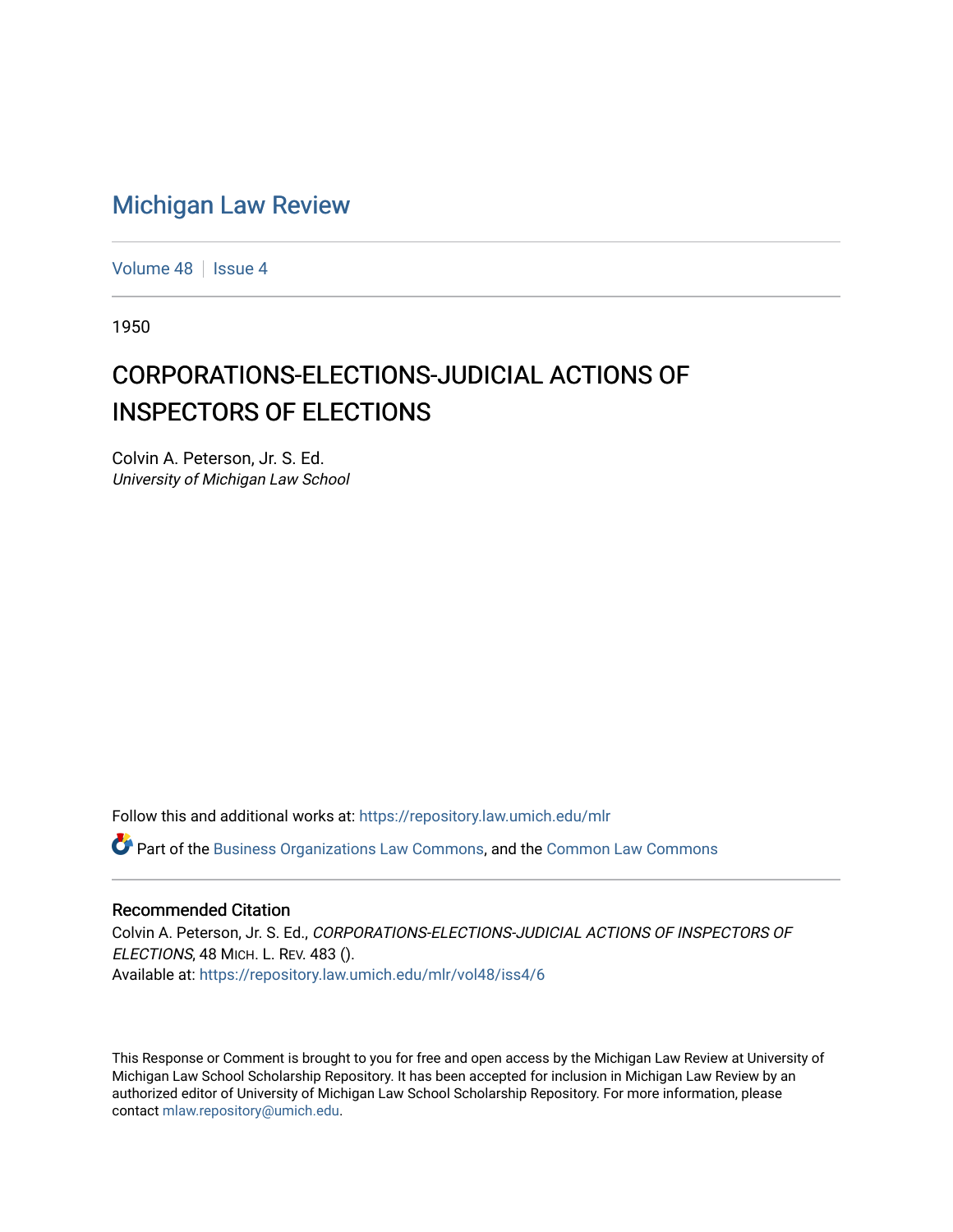# [Michigan Law Review](https://repository.law.umich.edu/mlr)

[Volume 48](https://repository.law.umich.edu/mlr/vol48) | [Issue 4](https://repository.law.umich.edu/mlr/vol48/iss4)

1950

# CORPORATIONS-ELECTIONS-JUDICIAL ACTIONS OF INSPECTORS OF ELECTIONS

Colvin A. Peterson, Jr. S. Ed. University of Michigan Law School

Follow this and additional works at: [https://repository.law.umich.edu/mlr](https://repository.law.umich.edu/mlr?utm_source=repository.law.umich.edu%2Fmlr%2Fvol48%2Fiss4%2F6&utm_medium=PDF&utm_campaign=PDFCoverPages) 

Part of the [Business Organizations Law Commons](http://network.bepress.com/hgg/discipline/900?utm_source=repository.law.umich.edu%2Fmlr%2Fvol48%2Fiss4%2F6&utm_medium=PDF&utm_campaign=PDFCoverPages), and the [Common Law Commons](http://network.bepress.com/hgg/discipline/1120?utm_source=repository.law.umich.edu%2Fmlr%2Fvol48%2Fiss4%2F6&utm_medium=PDF&utm_campaign=PDFCoverPages) 

## Recommended Citation

Colvin A. Peterson, Jr. S. Ed., CORPORATIONS-ELECTIONS-JUDICIAL ACTIONS OF INSPECTORS OF ELECTIONS, 48 MICH. L. REV. 483 (). Available at: [https://repository.law.umich.edu/mlr/vol48/iss4/6](https://repository.law.umich.edu/mlr/vol48/iss4/6?utm_source=repository.law.umich.edu%2Fmlr%2Fvol48%2Fiss4%2F6&utm_medium=PDF&utm_campaign=PDFCoverPages)

This Response or Comment is brought to you for free and open access by the Michigan Law Review at University of Michigan Law School Scholarship Repository. It has been accepted for inclusion in Michigan Law Review by an authorized editor of University of Michigan Law School Scholarship Repository. For more information, please contact [mlaw.repository@umich.edu](mailto:mlaw.repository@umich.edu).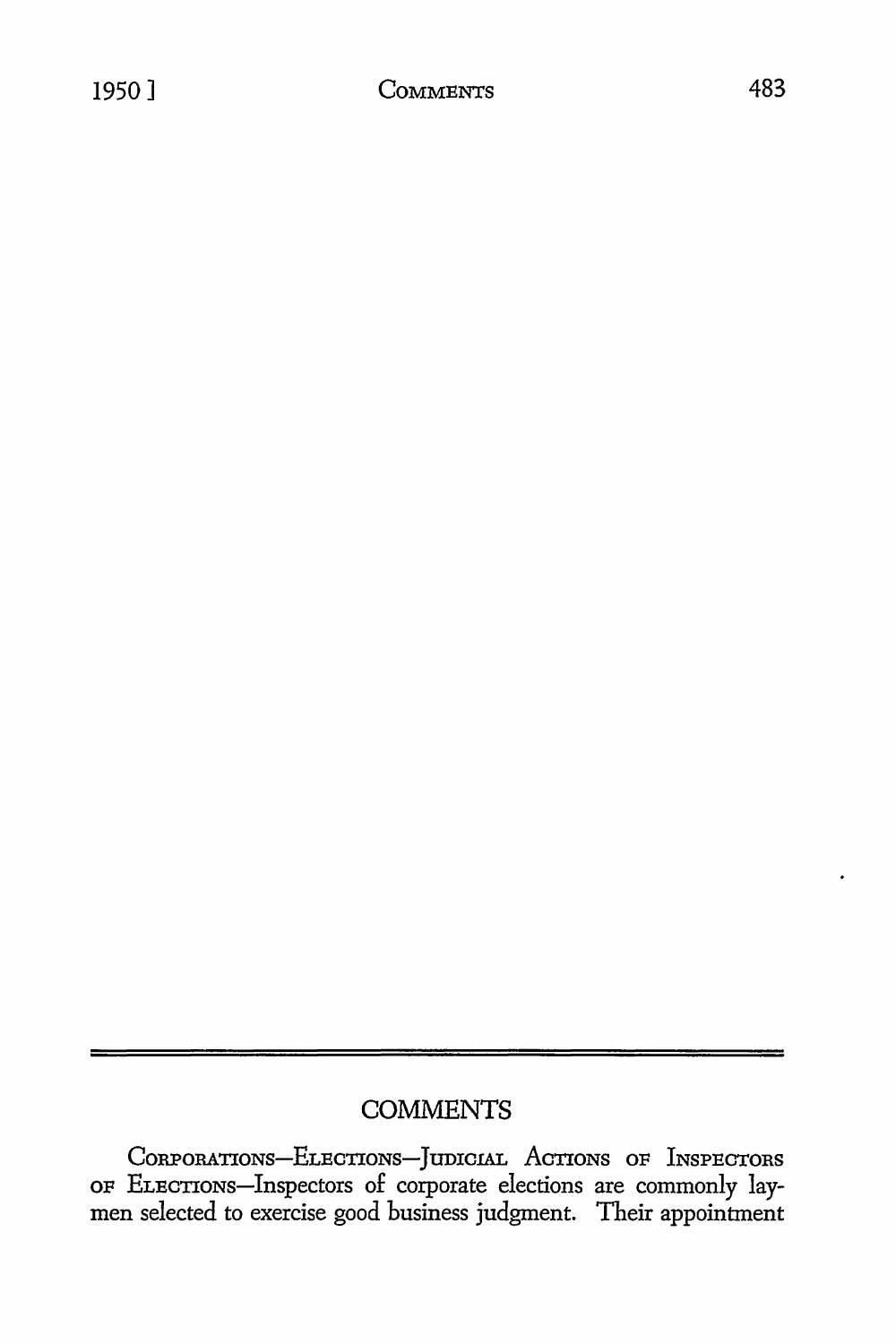# **COMMENTS**

CORPORATIONS-ELECTIONS-JUDICIAL ACTIONS OF INSPECTORS OF ELECTIONS-Inspectors of corporate elections are commonly laymen selected to exercise good business judgment. Their appointment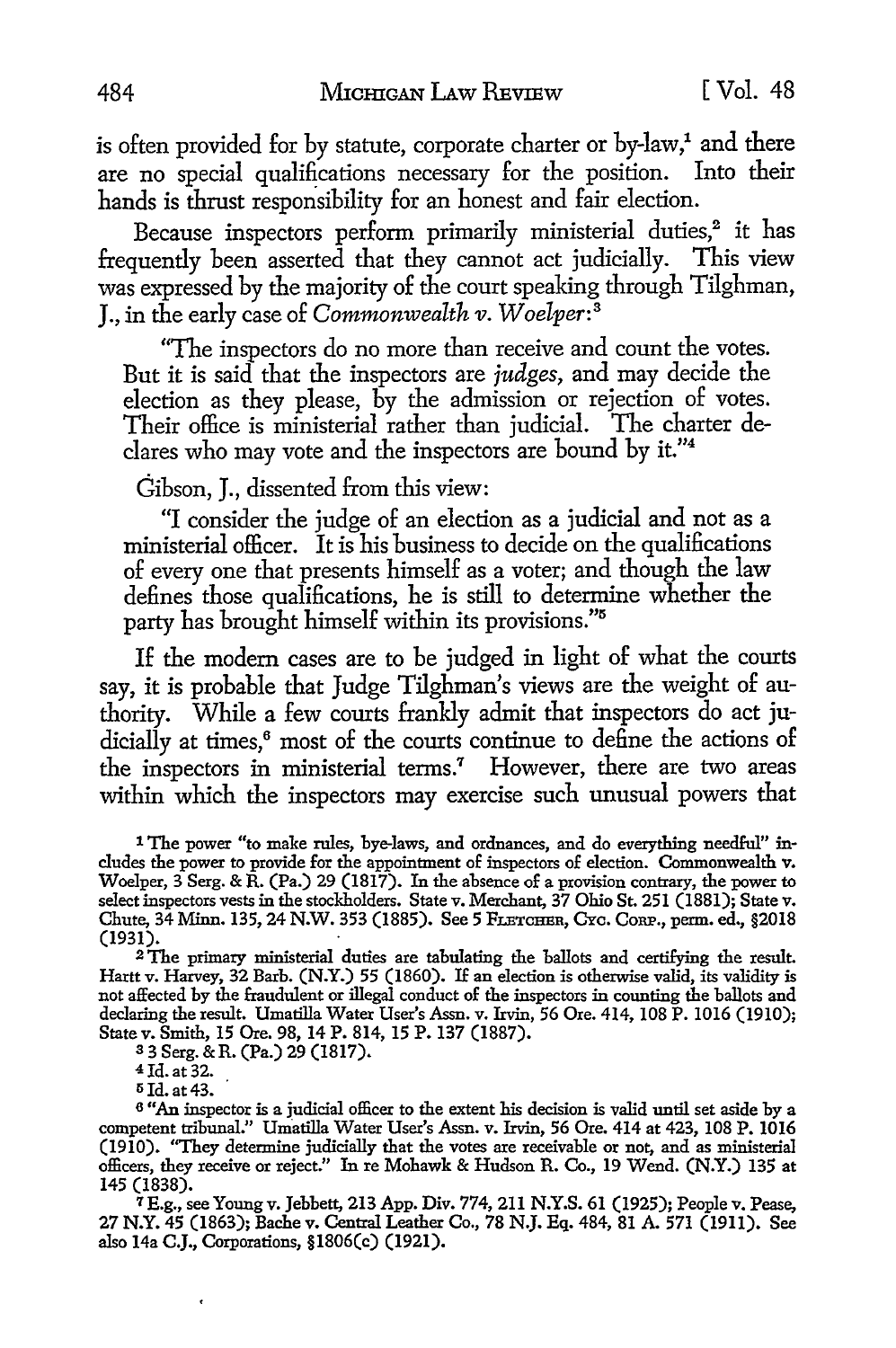is often provided for by statute, corporate charter or  $by$ -law,<sup>1</sup> and there are no special qualifications necessary for the position. Into their hands is thrust responsibility for an honest and fair election.

Because inspectors perform primarily ministerial duties,<sup>2</sup> it has frequently been asserted that they cannot act judicially. This view was expressed by the majority of the court speaking through Tilghman, J., in the early case of *Commonwealth v. Woelper:* <sup>3</sup>

"The inspectors do no more than receive and count the votes. But it is said that the inspectors are *judges,* and may decide the election as they please, by the admission or rejection of votes. Their office is ministerial rather than judicial. The charter declares who may vote and the inspectors are bound by it."<sup>4</sup>

Gibson, J., dissented from this view:

"I consider the judge of an election as a judicial and not as a ministerial officer. It is his business to decide on the qualifications of every one that presents himself as a voter; and though the law defines those qualifications, he is still to determine whether the party has brought himself within its provisions."<sup>5</sup>

If the modern cases are to be judged in light of what the courts say, it is probable that Judge Tilghman's views are the weight of authority. While a few courts frankly admit that inspectors do act judicially at times,<sup>6</sup> most of the courts continue to define the actions of the inspectors in ministerial terms.<sup>7</sup> However, there are two areas within which the inspectors may exercise such unusual powers that

<sup>1</sup> The power "to make rules, bye-laws, and ordnances, and do everything needful" in-<br>cludes the power to provide for the appointment of inspectors of election. Commonwealth v. Woelper,  $3$  Serg. & R. (Pa.) 29 (1817). In the absence of a provision contrary, the power to select inspectors vests in the stockholders. State v. Merchant, 37 Ohio St. 251 (1881); State v. Chute, 34 Minn. 135, 24 N.W. 353 (1885). See 5 FLETCHER, CYC. CORP., perm. ed., §2018 (1931).

<sup>2</sup>The primary ministerial duties are tabulating the ballots and certifying the result. Hartt v. Harvey, 32 Barb. (N.Y.) 55 (1860). If an election is otherwise valid, its validity is not affected by the fraudulent or illegal conduct of the inspectors in counting the ballots and declaring the result. Umatilla Water User's Assn. v. Irvin, 56 Ore. 414, 108 P. 1016 (1910); State v. Smith, 15 Ore. 98, 14 P. 814, 15 P. 137 (1887).

<sup>3</sup>3 Serg. &R. (Pa.) 29 (1817).

4 Id. at 32.

<sup>5</sup> Id. at 43.<br><sup>6</sup> "An inspector is a judicial officer to the extent his decision is valid until set aside by a competent tribunal." Umatilla Water User's Assn. v. Irvin, 56 Ore. 414 at 423, 108 P. 1016 (1910). ''They determine judicially that the votes are receivable or not, and as ministerial officers, they receive or reject." In re Mohawk & Hudson R. Co., 19 Wend. (N.Y.) 135 at 145 (1838).

7 E.g., see Young v. Jebbett, 213 App. Div. 774, 211 N.Y.S. 61 (1925); People v. Pease, 27 N.Y. 45 (1863); Bache v. Central Leather Co., 78 N.J. Eq. 484, 81 A. 571 (1911). See also 14a C.J., Corporations, §1806(c) (1921).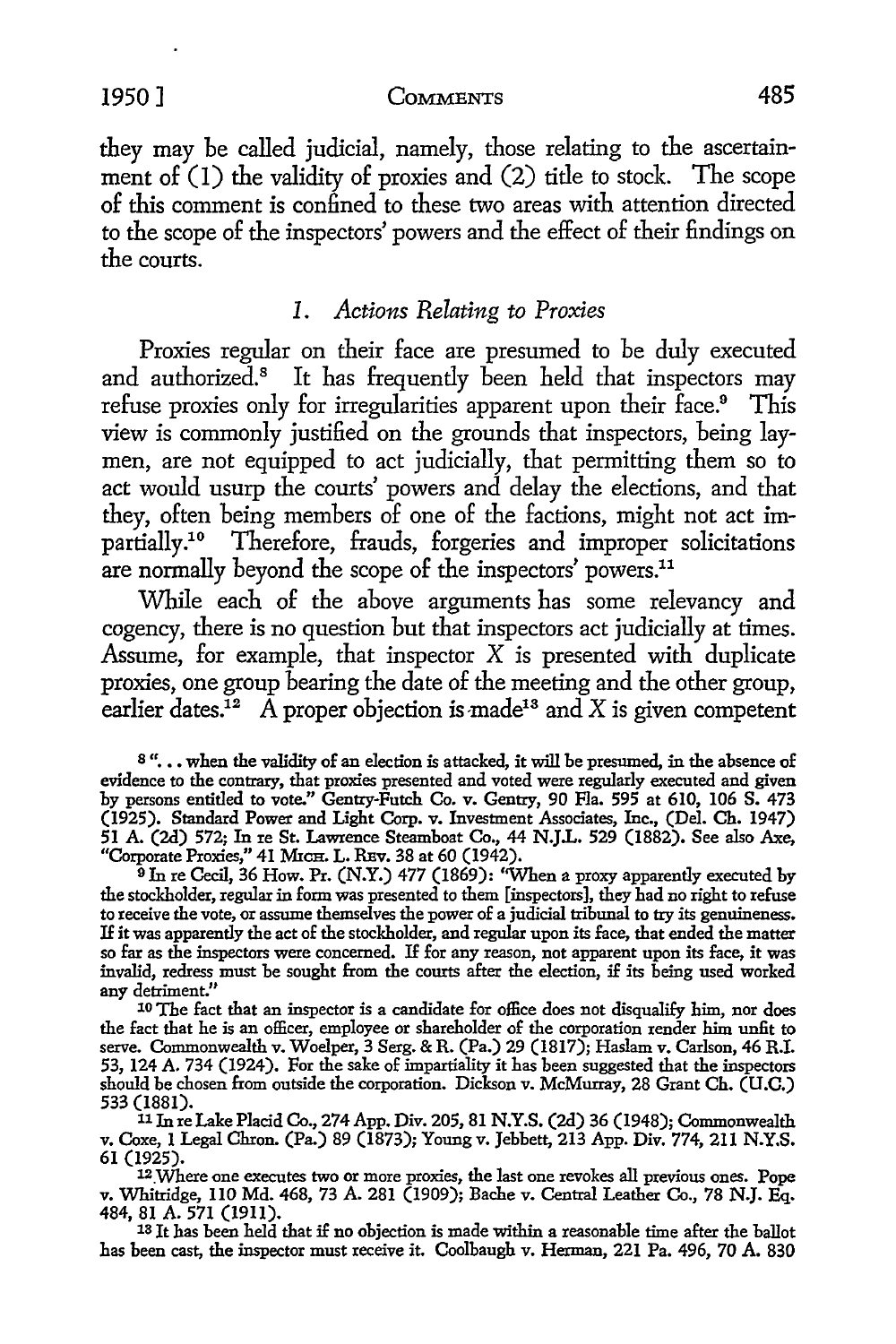#### 1950] COMMENTS 485

they may be called judicial, namely, those relating to the ascertainment of  $(1)$  the validity of proxies and  $(2)$  title to stock. The scope of this comment is confined *to* these two areas with attention directed *to* the scope of the inspectors' powers and the effect of their findings on the courts.

### *1. Actions Relating to Proxies*

Proxies regular on their face are presumed to be duly executed and authorized.<sup>8</sup> It has frequently been held that inspectors may refuse proxies only for irregularities apparent upon their face.<sup>9</sup> This view is commonly justified on the grounds that inspectors, being laymen, are not equipped to act judicially, that permitting them so to act would usurp the courts' powers and delay the elections, and that they, often being members of one of the factions, might not act impartially .10 Therefore, frauds, forgeries and improper solicitations are normally beyond the scope of the inspectors' powers.<sup>11</sup>

While each of the above arguments has some relevancy and cogency, there is no question but that inspectors act judicially at times. Assume, for example, that inspector  $X$  is presented with duplicate proxies, one group bearing the date of the meeting and the other group, earlier dates.<sup>12</sup> A proper objection is made<sup>13</sup> and X is given competent

8"... when the validity of an election is attacked, it will be presumed, in the absence of evidence to the contrary, that proxies presented and voted were regularly executed and given by persons entitled to vote." Gentry-Futch Co. v. Gentry, 90 Fla. 595 at 610, 106 S. 473 (1925). Standard Power and Light Corp. v. Investment Associates, Inc., (Del. Ch. 1947) 51 A. (2d) 572; In re St. Lawrence Steamboat Co., 44 N.JL. 529 (1882). See also *Axe,*  "Corporate Proxies," 41 MICH. L. REV. 38 at 60 (1942).

<sup>9</sup> In re Cecil, 36 How. Pr. (N.Y.) 477 (1869): "When a proxy apparently executed by the stockholder, regular in form was presented to them [inspectors], they had no right to refuse to receive the vote, or assume themselves the power of a judicial tribunal to try its genuineness. If it was apparently the act of the stockholder, and regular upon its face, that ended the matter so far as the inspectors were concerned. If for any reason, not apparent upon its face, it was invalid, redress must be sought from the courts after the election, if its being used worked any detriment."

10 The fact that an inspector is a candidate for office does not disqualify him, nor does the fact that he is an officer, employee or shareholder of the corporation render him unfit to serve. Commonwealth v. Woelper, 3 Serg. & R. (Pa.) 29 (1817); Haslam v. Carlson, 46 R.L 53, 124 A. 734 (1924). For the sake of impartiality it has been suggested that the inspectors should be chosen from outside the corporation. Dickson v. McMurray, 28 Grant Ch. (U.C.) 533 (1881).

<sup>11</sup>In re Lake Placid Co., 274 App. Div. 205, 81 N.Y.S. (2d) 36 (1948); Commonwealth v. Coxe, 1 Legal Chron. (Pa.) 89 (1873); Young v. Jebbett, 213 App. Div. 774, 211 N.Y.S. 61 (1925).

12\_Where one executes two or more proxies, the last one revokes all previous ones. Pope v. Whitridge, 110 Md. 468, 73 A. 281 (1909); Bache v. Central Leather Co., 78 N.J. Eq. 484, 81 A. 571 (1911).

13 Jt has been held that if no objection is made within a reasonable time after the ballot has been cast, the inspector must receive it. Coolbaugh v. Herman, 221 Pa. 496, 70 A. 830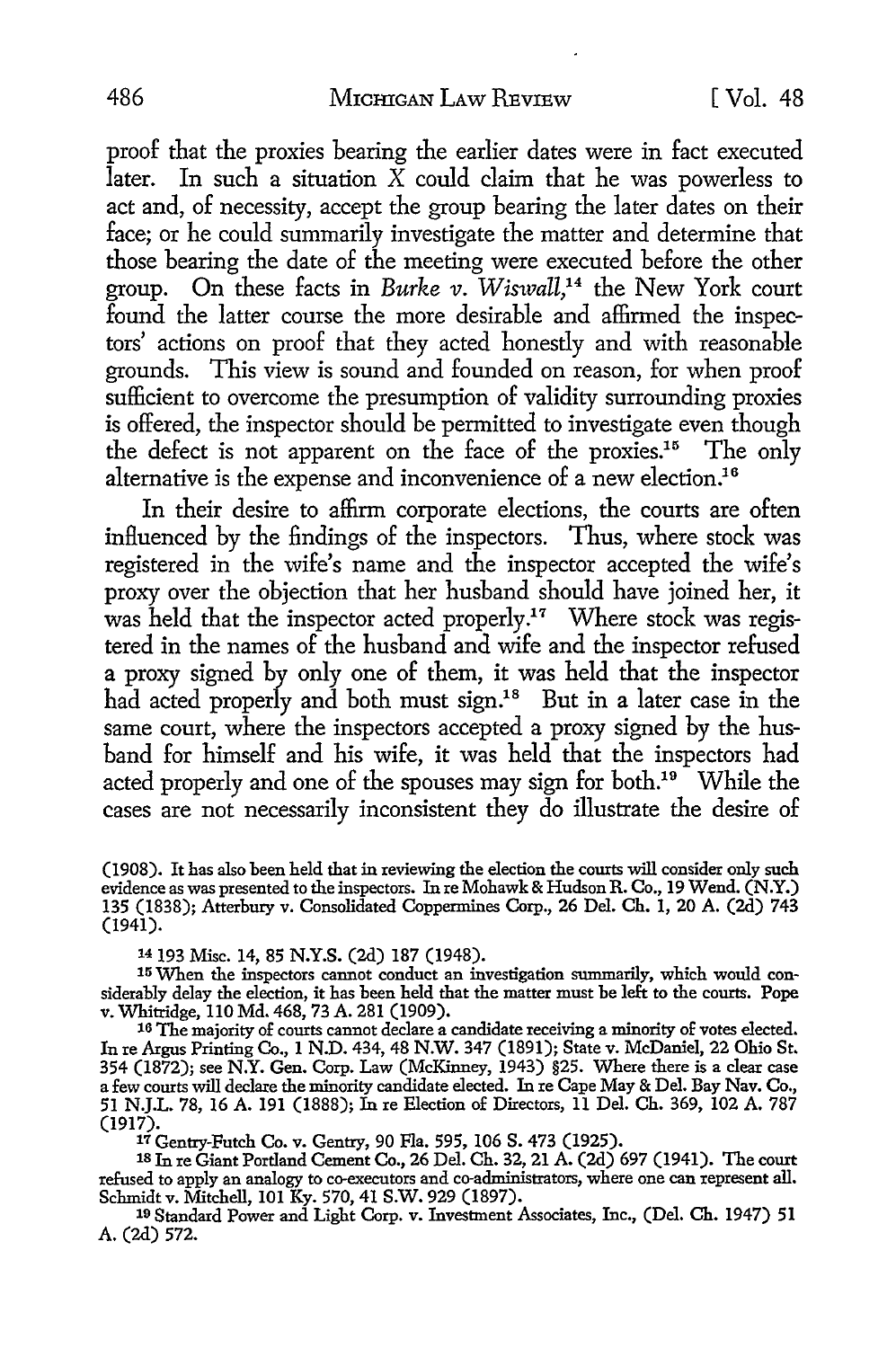proof that the proxies bearing the earlier dates were in fact executed later. In such a situation  $\overline{X}$  could claim that he was powerless to act and, of necessity, accept the group bearing the later dates on their face; or he could summarily investigate the matter and determine that those bearing the date of the meeting were executed before the other group. On these facts in *Burke v. Wiswall*,<sup>14</sup> the New York court found the latter course the more desirable and affirmed the inspectors' actions on proof that they acted honestly and with reasonable grounds. This view is sound and founded on reason, for when proof sufficient to overcome the presumption of validity surrounding proxies is offered, the inspector should be permitted to investigate even though the defect is not apparent on the face of the proxies.15 The only alternative is the expense and inconvenience of a new election.<sup>16</sup>

In their desire to affirm corporate elections, the courts are often influenced by the findings of the inspectors. Thus, where stock was registered in the wife's name and the inspector accepted the wife's proxy over the objection that her husband should have joined her, it was held that the inspector acted properly.<sup>17</sup> Where stock was registered in the names of the husband and wife and the inspector refused a proxy signed by only one of them, it was held that the inspector had acted properly and both must sign.<sup>18</sup> But in a later case in the same court, where the inspectors accepted a proxy signed by the husband for himself and his wife, it was held that the inspectors had acted properly and one of the spouses may sign for both.<sup>19</sup> While the cases are not necessarily inconsistent they do illustrate the desire of

(1908). It has also been held that in reviewing the election the courts will consider only such evidence as was presented to the inspectors. In re Mohawk & Hudson R. Co., 19 Wend. (N.Y.) 135 (1838); Atterbury v. Consolidated Coppermines Corp., 26 Del. Ch. 1, 20 A. (2d) 743 (1941).

14 193 Misc. 14, 85 N.Y.S. (2d) 187 (1948).

15 When the inspectors cannot conduct an investigation summarily, which would considerably delay the election, it has been held that the matter must be left to the courts. Pope<br>v. Whitridge, 110 Md. 468, 73 A. 281 (1909). v. Whitridge, 110 Md. 468, 73 A. 281 (1909). 16 The majority of courts cannot declare a candidate receiving a minority of votes elected.

In re Argus Printing Co., 1 N.D. 434, 48 N.W. 347 (1891); State v. McDaniel, 22 Ohio St. 354 (1872); see N.Y. Gen. Corp. Law (McKinney, 1943) §25. Where there is a clear case a few courts will declare the minority candidate elected. In re Cape May & Del. Bay Nav. Co., 51 N.J.L. 78, 16 A. 191 (1888); In re Election of Directors, 11 Del. Ch. 369, 102 A. 787<br>(1917).

<sup>17</sup> Gentry-Futch Co. v. Gentry, 90 Fla. 595, 106 S. 473 (1925).<br><sup>18</sup> In re Giant Portland Cement Co., 26 Del. Ch. 32, 21 A. (2d) 697 (1941). The court refused to apply an analogy to co-executors and co-administrators, where one can represent all. Schmidt v. Mitchell, 101 Ky. 570, 41 S.W. 929 (1897).

19 Standard Power and Light Corp. v. Investment Associates, Inc., (Del. Ch. 1947) 51 A. (2d) 572.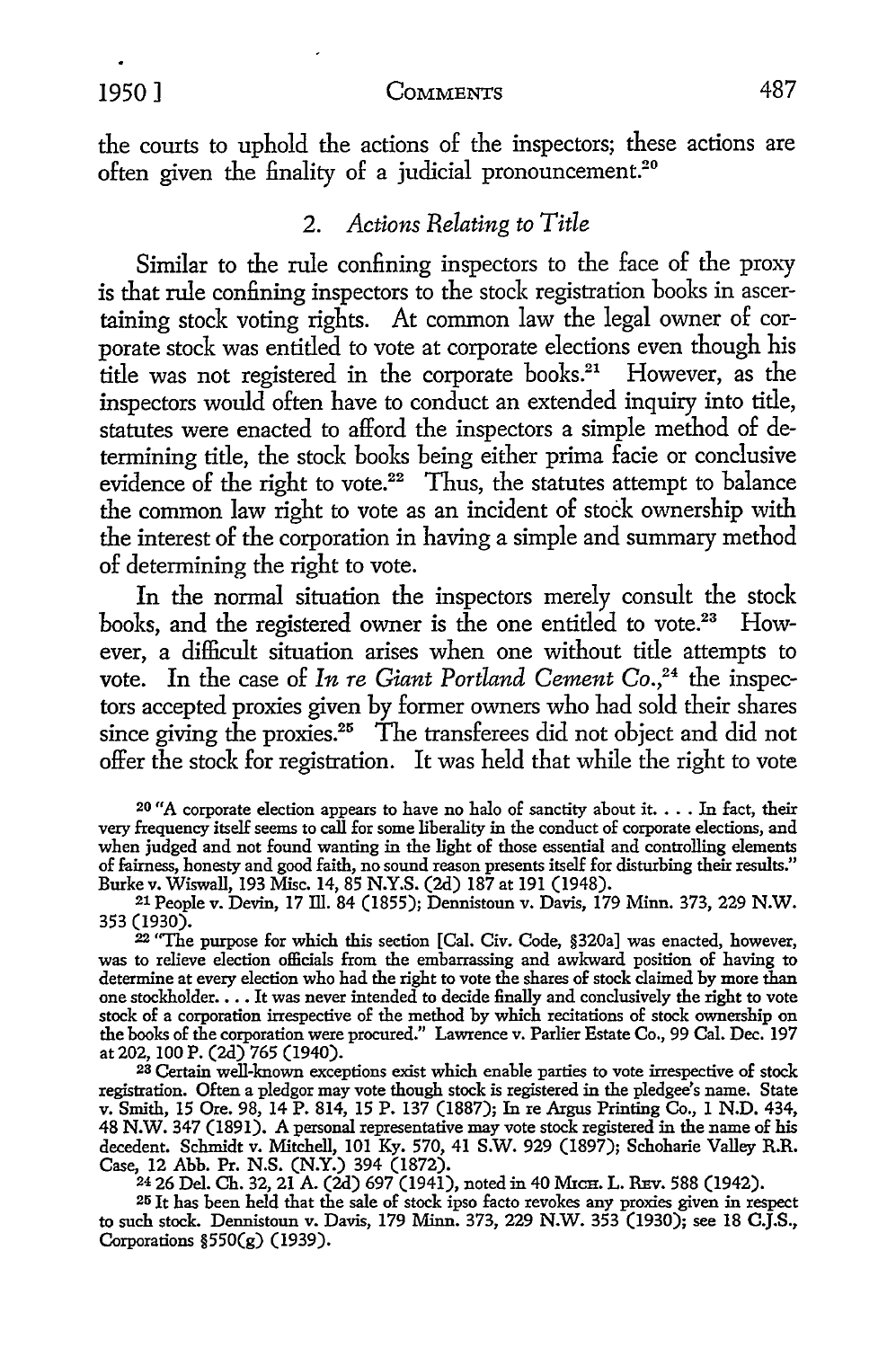# 1950 ] COMMENTS 487

the courts to uphold the actions of the inspectors; these actions are often given the finality of a judicial pronouncement.<sup>20</sup>

## 2. *Actions Relating to Title*

Similar to the rule confining inspectors to the face of the proxy is that rule confining inspectors to the stock registration books in ascertaining stock voting rights. At common law the legal owner of corporate stock was entitled to vote at corporate elections even though his title was not registered in the corporate books.<sup>21</sup> However, as the inspectors would often have to conduct an extended inquiry into title, statutes were enacted to afford the inspectors a simple method of determining title, the stock books being either prima facie or conclusive evidence of the right to vote.<sup>22</sup> Thus, the statutes attempt to balance the common law right to vote as an incident of stock ownership with the interest of the corporation in having a simple and summary method of determining the right to vote.

In the normal situation the inspectors merely consult the stock books, and the registered owner is the one entitled *to* vote.23 However, a difficult situation arises when one without title attempts *to*  vote. In the case of In re Giant Portland Cement Co.,<sup>24</sup> the inspectors accepted proxies given by former owners who had sold their shares since giving the proxies.<sup>25</sup> The transferees did not object and did not offer the stock for registration. It was held that while the right to vote

 $20$  "A corporate election appears to have no halo of sanctity about it.  $\dots$  In fact, their very frequency itself seems to call for some liberality in the conduct of corporate elections, and when judged and not found wanting in the light of those essential and controlling elements of fairness, honesty and good faith, no sound reason presents itself for disturbing their results." Burke v. Wiswall, 193 Misc. 14, 85 N.Y.S. (2d) 187 at 191 (1948).

21 People v. Devin, 17 Ill. 84 (1855); Dennistoun v. Davis, 179 Minn. 373, 229 **N.W.**  353 (1930).

22 "The purpose for which this section [Cal. Civ. Code, §320a] was enacted, however, was to relieve election officials from the embarrassing and awkward position of having to determine at every election who had the right to vote the shares of stock claimed by more than one stockholder. . . . It was never intended to decide finally and conclusively the right to vote stock of a corporation irrespective of the method by which recitations of stock ownership on the books of the corporation were procured." Lawrence v. Parlier Estate Co., 99 Cal. Dec. 197 at 202, 100 P. (2d) 765 (1940).

23 Certain well-known exceptions exist which enable parties to vote irrespective of stock registration. Often a pledgor may vote though stock is registered in the pledgee's name. State v. Smith, 15 Ore. 98, 14 P. 814, 15 P. 137 (1887); In re Argus Printing Co., 1 N.D. 434, 48 N.W. 347 (1891). A personal representative may vote stock registered in the name of his decedent. Schmidt v. Mitchell, 101 Ky. 570, 41 S.W. 929 (1897); Schoharie Valley R.R. Case, 12 Abb. Pr. N.S. (N.Y.) 394 (1872).

24 26 Del. Ch. 32, 21 A. (2d) 697 (1941), noted in 40 MrCH. L. REv. 588 (1942).

25 It has been held that the sale of stock ipso facto revokes any proxies given in respect to such stock. Dennistoun v. Davis, 179 Minn. 373, 229 N.W. 353 (1930); see 18 C.J.S., Corporations §550(g) (1939).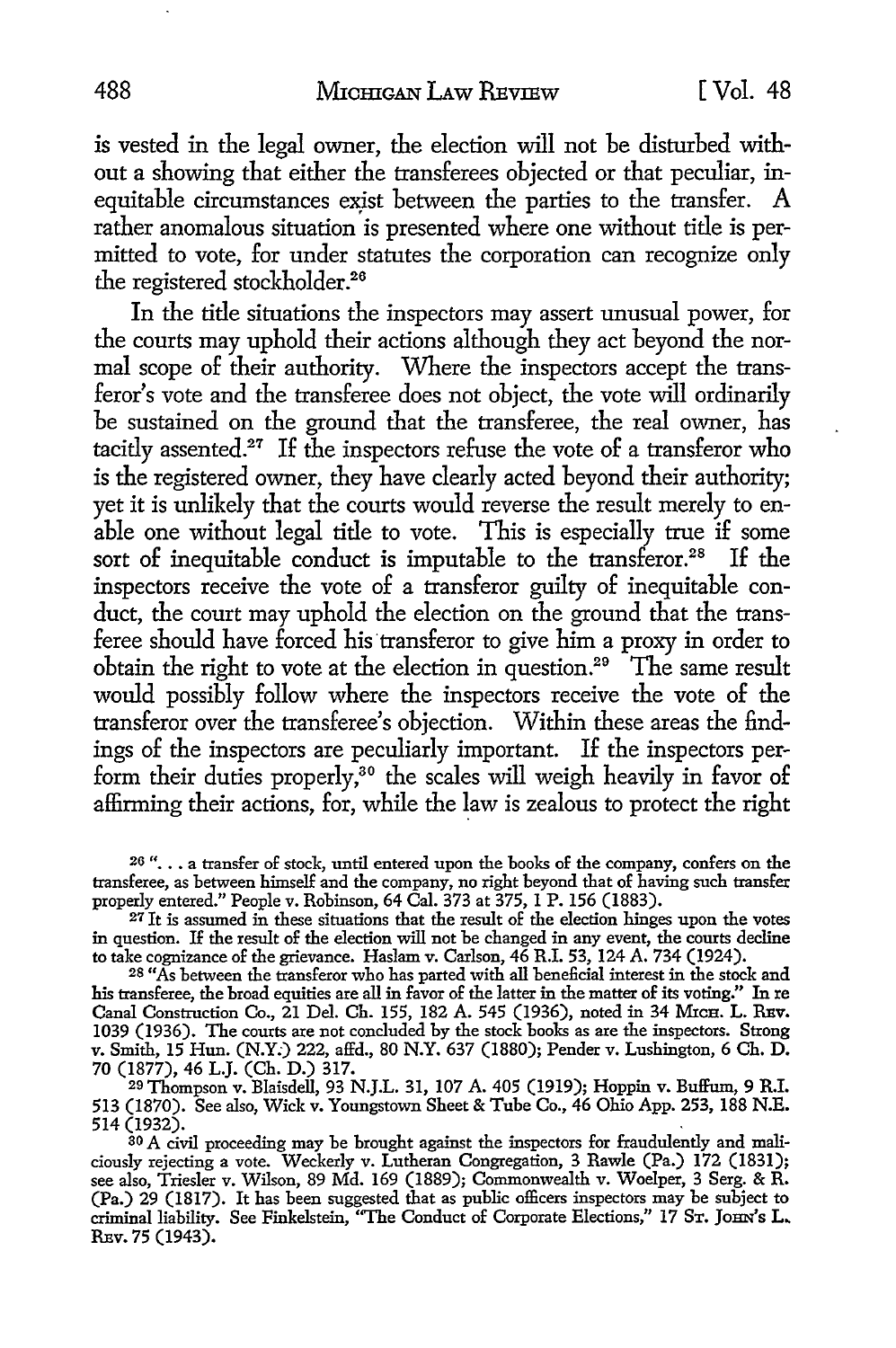is vested in the legal owner, the election will not be disturbed without a showing that either the transferees objected or that peculiar, inequitable circumstances exist between the parties to the transfer. A rather anomalous situation is presented where one without title is permitted to vote, for under statutes the corporation can recognize only the registered stockholder.<sup>26</sup>

In the title situations the inspectors may assert unusual power, for the courts may uphold their actions although they act beyond the normal scope of their authority. Where the inspectors accept the transferor's vote and the transferee does not object, the vote will ordinarily be sustained on the ground that the transferee, the real owner, has tacitly assented.<sup>27</sup> If the inspectors refuse the vote of a transferor who is the registered owner, they have clearly acted beyond their authority; yet it is unlikely that the courts would reverse the result merely to enable one without legal title to vote. This is especially true if some sort of inequitable conduct is imputable to the transferor.<sup>28</sup> If the inspectors receive the vote of a transferor guilty of inequitable conduct, the court may uphold the election on the ground that the transferee should have forced his transferor to give him a proxy in order to obtain the right to vote at the election in question.29 The same result would possibly follow where the inspectors receive the vote of the transferor over the transferee's objection. Within these areas the findings of the inspectors are peculiarly important. If the inspectors perform their duties properly,<sup>30</sup> the scales will weigh heavily in favor of affirming their actions, for, while the law is zealous to protect the right

28 "As between the transferor who has parted with all beneficial interest in the stock and his transferee, the broad equities are all in favor of the latter in the matter of its voting." In re Canal Construction Co., 21 Del. Ch. 155, 182 A. 545 (1936), noted in 34 MrcH. L. REV. 1039 (1936). The courts are not concluded by the stock books as are the inspectors. Strong v. Smith, 15 Hun. (N.Y:) 222, affd., 80 N.Y. 637 (1880); Pender v. Lushington, 6 Ch. D.

30 A civil proceeding may be brought against the inspectors for fraudulently and maliciously rejecting a vote. Weckerly v. Lutheran Congregation, 3 Rawle (Pa.) 172 (1831); see also, Triesler v. Wilson, 89 Md. 169 (1889); Commonwealth v. Woelper, 3 Serg. & R. (Pa.) 29 (1817). It has been suggested that as public officers inspectors may be subject to criminal liability. See Finkelstein, "The Conduct of Corporate Elections," 17 Sr. Jonn's L. REv. 75 (1943).

<sup>26 &</sup>quot;... a transfer of stock, until entered upon the books of the company, confers on the transferee, as between himself and the company, no right beyond that of having such transfer properly entered." People v. Robinson, 64 Cal. 373 at 375, 1 P. 156 (1883).

 $27$  It is assumed in these situations that the result of the election hinges upon the votes in question. If the result of the election will not be changed in any event, the courts decline to take cognizance of the grievance. Haslam v. Carlson, 46 R.I. 53, 124 A. 734 (1924).

<sup>29</sup> Thompson v. Blaisdell, 93 N.J.L. 31, 107 A. 405 (1919); Hoppin v. Buffum, 9 R.I. 513 (1870). See also, Wick v. Youngstown Sheet & Tube Co., 46 Ohio App. 253, 188 N.E. 514 (1932). ,